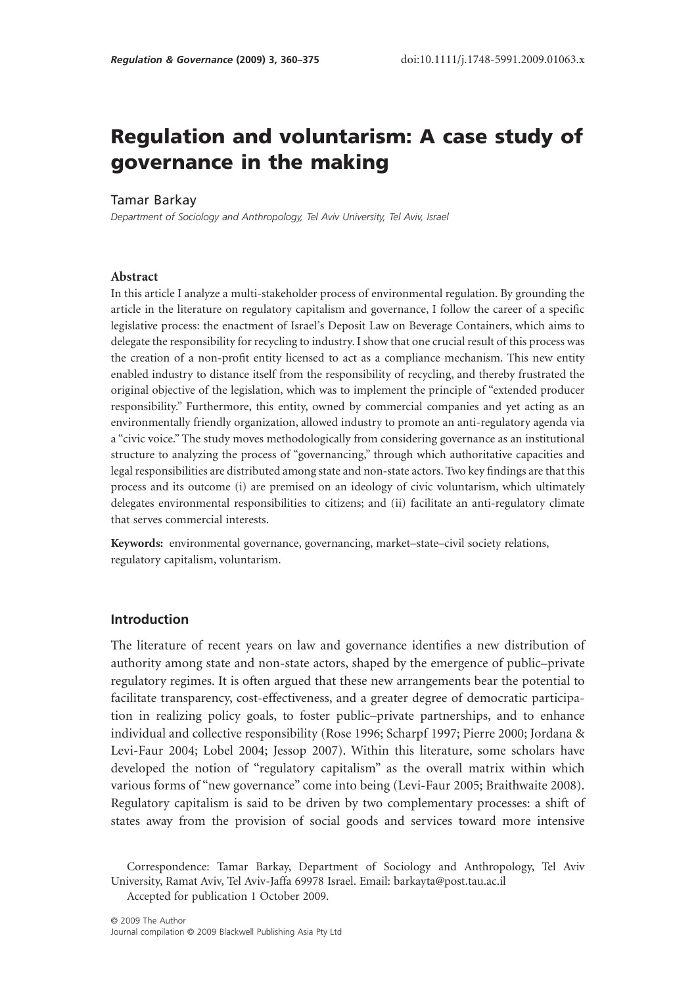# **Regulation and voluntarism: A case study of governance in the making**

### Tamar Barkay

*Department of Sociology and Anthropology, Tel Aviv University, Tel Aviv, Israel*

## **Abstract**

In this article I analyze a multi-stakeholder process of environmental regulation. By grounding the article in the literature on regulatory capitalism and governance, I follow the career of a specific legislative process: the enactment of Israel's Deposit Law on Beverage Containers, which aims to delegate the responsibility for recycling to industry. I show that one crucial result of this process was the creation of a non-profit entity licensed to act as a compliance mechanism. This new entity enabled industry to distance itself from the responsibility of recycling, and thereby frustrated the original objective of the legislation, which was to implement the principle of "extended producer responsibility." Furthermore, this entity, owned by commercial companies and yet acting as an environmentally friendly organization, allowed industry to promote an anti-regulatory agenda via a "civic voice." The study moves methodologically from considering governance as an institutional structure to analyzing the process of "governancing," through which authoritative capacities and legal responsibilities are distributed among state and non-state actors. Two key findings are that this process and its outcome (i) are premised on an ideology of civic voluntarism, which ultimately delegates environmental responsibilities to citizens; and (ii) facilitate an anti-regulatory climate that serves commercial interests.

**Keywords:** environmental governance, governancing, market–state–civil society relations, regulatory capitalism, voluntarism.

# **Introduction**

The literature of recent years on law and governance identifies a new distribution of authority among state and non-state actors, shaped by the emergence of public–private regulatory regimes. It is often argued that these new arrangements bear the potential to facilitate transparency, cost-effectiveness, and a greater degree of democratic participation in realizing policy goals, to foster public–private partnerships, and to enhance individual and collective responsibility (Rose 1996; Scharpf 1997; Pierre 2000; Jordana & Levi-Faur 2004; Lobel 2004; Jessop 2007). Within this literature, some scholars have developed the notion of "regulatory capitalism" as the overall matrix within which various forms of "new governance" come into being (Levi-Faur 2005; Braithwaite 2008). Regulatory capitalism is said to be driven by two complementary processes: a shift of states away from the provision of social goods and services toward more intensive

Correspondence: Tamar Barkay, Department of Sociology and Anthropology, Tel Aviv University, Ramat Aviv, Tel Aviv-Jaffa 69978 Israel. Email: barkayta@post.tau.ac.il

Accepted for publication 1 October 2009.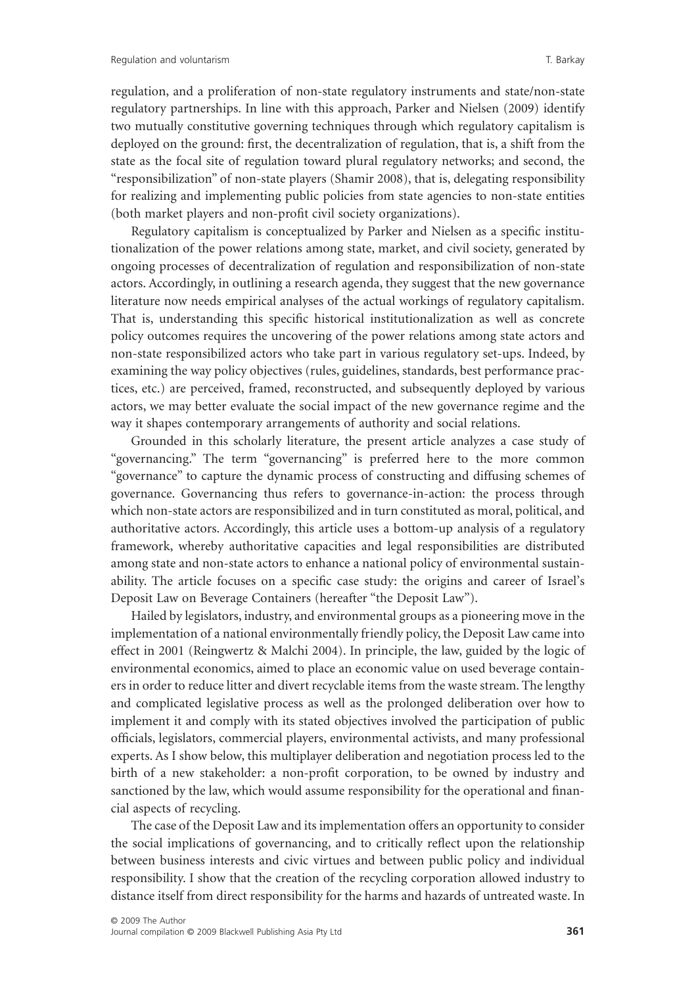regulation, and a proliferation of non-state regulatory instruments and state/non-state regulatory partnerships. In line with this approach, Parker and Nielsen (2009) identify two mutually constitutive governing techniques through which regulatory capitalism is deployed on the ground: first, the decentralization of regulation, that is, a shift from the state as the focal site of regulation toward plural regulatory networks; and second, the "responsibilization" of non-state players (Shamir 2008), that is, delegating responsibility for realizing and implementing public policies from state agencies to non-state entities (both market players and non-profit civil society organizations).

Regulatory capitalism is conceptualized by Parker and Nielsen as a specific institutionalization of the power relations among state, market, and civil society, generated by ongoing processes of decentralization of regulation and responsibilization of non-state actors. Accordingly, in outlining a research agenda, they suggest that the new governance literature now needs empirical analyses of the actual workings of regulatory capitalism. That is, understanding this specific historical institutionalization as well as concrete policy outcomes requires the uncovering of the power relations among state actors and non-state responsibilized actors who take part in various regulatory set-ups. Indeed, by examining the way policy objectives (rules, guidelines, standards, best performance practices, etc.) are perceived, framed, reconstructed, and subsequently deployed by various actors, we may better evaluate the social impact of the new governance regime and the way it shapes contemporary arrangements of authority and social relations.

Grounded in this scholarly literature, the present article analyzes a case study of "governancing." The term "governancing" is preferred here to the more common "governance" to capture the dynamic process of constructing and diffusing schemes of governance. Governancing thus refers to governance-in-action: the process through which non-state actors are responsibilized and in turn constituted as moral, political, and authoritative actors. Accordingly, this article uses a bottom-up analysis of a regulatory framework, whereby authoritative capacities and legal responsibilities are distributed among state and non-state actors to enhance a national policy of environmental sustainability. The article focuses on a specific case study: the origins and career of Israel's Deposit Law on Beverage Containers (hereafter "the Deposit Law").

Hailed by legislators, industry, and environmental groups as a pioneering move in the implementation of a national environmentally friendly policy, the Deposit Law came into effect in 2001 (Reingwertz & Malchi 2004). In principle, the law, guided by the logic of environmental economics, aimed to place an economic value on used beverage containers in order to reduce litter and divert recyclable items from the waste stream. The lengthy and complicated legislative process as well as the prolonged deliberation over how to implement it and comply with its stated objectives involved the participation of public officials, legislators, commercial players, environmental activists, and many professional experts. As I show below, this multiplayer deliberation and negotiation process led to the birth of a new stakeholder: a non-profit corporation, to be owned by industry and sanctioned by the law, which would assume responsibility for the operational and financial aspects of recycling.

The case of the Deposit Law and its implementation offers an opportunity to consider the social implications of governancing, and to critically reflect upon the relationship between business interests and civic virtues and between public policy and individual responsibility. I show that the creation of the recycling corporation allowed industry to distance itself from direct responsibility for the harms and hazards of untreated waste. In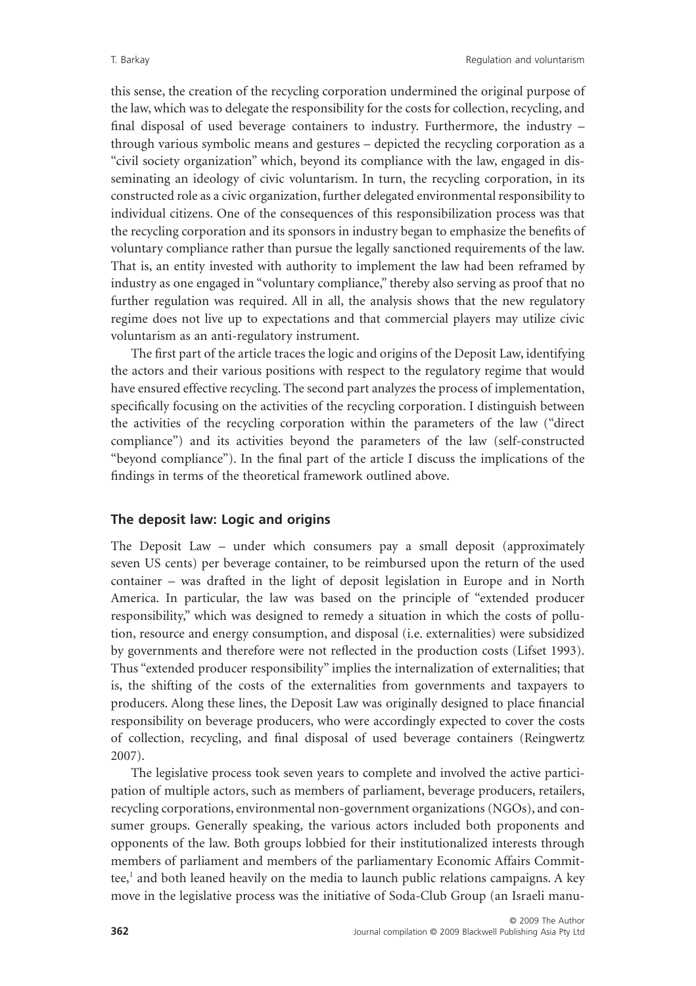this sense, the creation of the recycling corporation undermined the original purpose of the law, which was to delegate the responsibility for the costs for collection, recycling, and final disposal of used beverage containers to industry. Furthermore, the industry – through various symbolic means and gestures – depicted the recycling corporation as a "civil society organization" which, beyond its compliance with the law, engaged in disseminating an ideology of civic voluntarism. In turn, the recycling corporation, in its constructed role as a civic organization, further delegated environmental responsibility to individual citizens. One of the consequences of this responsibilization process was that the recycling corporation and its sponsors in industry began to emphasize the benefits of voluntary compliance rather than pursue the legally sanctioned requirements of the law. That is, an entity invested with authority to implement the law had been reframed by industry as one engaged in "voluntary compliance," thereby also serving as proof that no further regulation was required. All in all, the analysis shows that the new regulatory regime does not live up to expectations and that commercial players may utilize civic voluntarism as an anti-regulatory instrument.

The first part of the article traces the logic and origins of the Deposit Law, identifying the actors and their various positions with respect to the regulatory regime that would have ensured effective recycling. The second part analyzes the process of implementation, specifically focusing on the activities of the recycling corporation. I distinguish between the activities of the recycling corporation within the parameters of the law ("direct compliance") and its activities beyond the parameters of the law (self-constructed "beyond compliance"). In the final part of the article I discuss the implications of the findings in terms of the theoretical framework outlined above.

# **The deposit law: Logic and origins**

The Deposit Law – under which consumers pay a small deposit (approximately seven US cents) per beverage container, to be reimbursed upon the return of the used container – was drafted in the light of deposit legislation in Europe and in North America. In particular, the law was based on the principle of "extended producer responsibility," which was designed to remedy a situation in which the costs of pollution, resource and energy consumption, and disposal (i.e. externalities) were subsidized by governments and therefore were not reflected in the production costs (Lifset 1993). Thus "extended producer responsibility" implies the internalization of externalities; that is, the shifting of the costs of the externalities from governments and taxpayers to producers. Along these lines, the Deposit Law was originally designed to place financial responsibility on beverage producers, who were accordingly expected to cover the costs of collection, recycling, and final disposal of used beverage containers (Reingwertz 2007).

The legislative process took seven years to complete and involved the active participation of multiple actors, such as members of parliament, beverage producers, retailers, recycling corporations, environmental non-government organizations (NGOs), and consumer groups. Generally speaking, the various actors included both proponents and opponents of the law. Both groups lobbied for their institutionalized interests through members of parliament and members of the parliamentary Economic Affairs Committee, $<sup>1</sup>$  and both leaned heavily on the media to launch public relations campaigns. A key</sup> move in the legislative process was the initiative of Soda-Club Group (an Israeli manu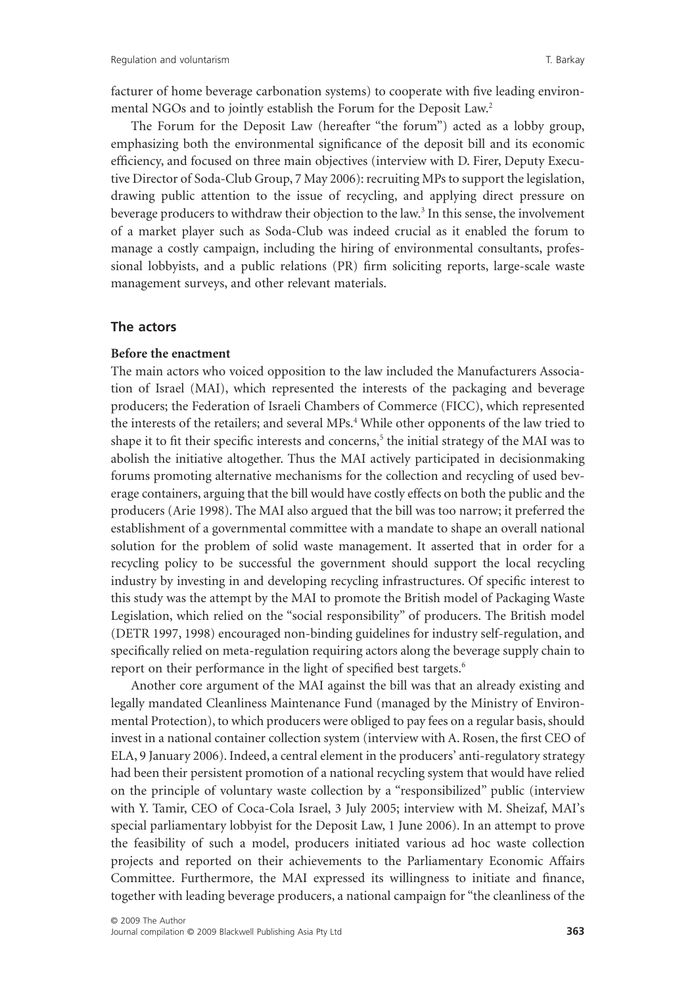facturer of home beverage carbonation systems) to cooperate with five leading environmental NGOs and to jointly establish the Forum for the Deposit Law.<sup>2</sup>

The Forum for the Deposit Law (hereafter "the forum") acted as a lobby group, emphasizing both the environmental significance of the deposit bill and its economic efficiency, and focused on three main objectives (interview with D. Firer, Deputy Executive Director of Soda-Club Group, 7 May 2006): recruiting MPs to support the legislation, drawing public attention to the issue of recycling, and applying direct pressure on beverage producers to withdraw their objection to the law.3 In this sense, the involvement of a market player such as Soda-Club was indeed crucial as it enabled the forum to manage a costly campaign, including the hiring of environmental consultants, professional lobbyists, and a public relations (PR) firm soliciting reports, large-scale waste management surveys, and other relevant materials.

#### **The actors**

## **Before the enactment**

The main actors who voiced opposition to the law included the Manufacturers Association of Israel (MAI), which represented the interests of the packaging and beverage producers; the Federation of Israeli Chambers of Commerce (FICC), which represented the interests of the retailers; and several MPs.<sup>4</sup> While other opponents of the law tried to shape it to fit their specific interests and concerns,<sup>5</sup> the initial strategy of the MAI was to abolish the initiative altogether. Thus the MAI actively participated in decisionmaking forums promoting alternative mechanisms for the collection and recycling of used beverage containers, arguing that the bill would have costly effects on both the public and the producers (Arie 1998). The MAI also argued that the bill was too narrow; it preferred the establishment of a governmental committee with a mandate to shape an overall national solution for the problem of solid waste management. It asserted that in order for a recycling policy to be successful the government should support the local recycling industry by investing in and developing recycling infrastructures. Of specific interest to this study was the attempt by the MAI to promote the British model of Packaging Waste Legislation, which relied on the "social responsibility" of producers. The British model (DETR 1997, 1998) encouraged non-binding guidelines for industry self-regulation, and specifically relied on meta-regulation requiring actors along the beverage supply chain to report on their performance in the light of specified best targets.<sup>6</sup>

Another core argument of the MAI against the bill was that an already existing and legally mandated Cleanliness Maintenance Fund (managed by the Ministry of Environmental Protection), to which producers were obliged to pay fees on a regular basis, should invest in a national container collection system (interview with A. Rosen, the first CEO of ELA, 9 January 2006). Indeed, a central element in the producers' anti-regulatory strategy had been their persistent promotion of a national recycling system that would have relied on the principle of voluntary waste collection by a "responsibilized" public (interview with Y. Tamir, CEO of Coca-Cola Israel, 3 July 2005; interview with M. Sheizaf, MAI's special parliamentary lobbyist for the Deposit Law, 1 June 2006). In an attempt to prove the feasibility of such a model, producers initiated various ad hoc waste collection projects and reported on their achievements to the Parliamentary Economic Affairs Committee. Furthermore, the MAI expressed its willingness to initiate and finance, together with leading beverage producers, a national campaign for "the cleanliness of the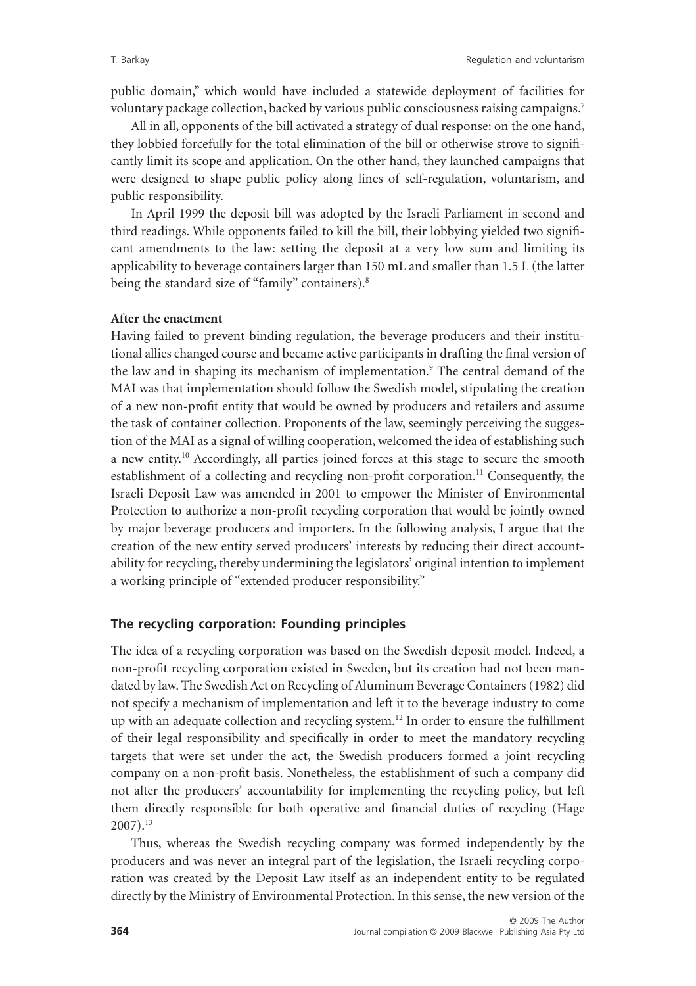public domain," which would have included a statewide deployment of facilities for voluntary package collection, backed by various public consciousness raising campaigns.7

All in all, opponents of the bill activated a strategy of dual response: on the one hand, they lobbied forcefully for the total elimination of the bill or otherwise strove to significantly limit its scope and application. On the other hand, they launched campaigns that were designed to shape public policy along lines of self-regulation, voluntarism, and public responsibility.

In April 1999 the deposit bill was adopted by the Israeli Parliament in second and third readings. While opponents failed to kill the bill, their lobbying yielded two significant amendments to the law: setting the deposit at a very low sum and limiting its applicability to beverage containers larger than 150 mL and smaller than 1.5 L (the latter being the standard size of "family" containers).<sup>8</sup>

## **After the enactment**

Having failed to prevent binding regulation, the beverage producers and their institutional allies changed course and became active participants in drafting the final version of the law and in shaping its mechanism of implementation.<sup>9</sup> The central demand of the MAI was that implementation should follow the Swedish model, stipulating the creation of a new non-profit entity that would be owned by producers and retailers and assume the task of container collection. Proponents of the law, seemingly perceiving the suggestion of the MAI as a signal of willing cooperation, welcomed the idea of establishing such a new entity.10 Accordingly, all parties joined forces at this stage to secure the smooth establishment of a collecting and recycling non-profit corporation.<sup>11</sup> Consequently, the Israeli Deposit Law was amended in 2001 to empower the Minister of Environmental Protection to authorize a non-profit recycling corporation that would be jointly owned by major beverage producers and importers. In the following analysis, I argue that the creation of the new entity served producers' interests by reducing their direct accountability for recycling, thereby undermining the legislators' original intention to implement a working principle of "extended producer responsibility."

## **The recycling corporation: Founding principles**

The idea of a recycling corporation was based on the Swedish deposit model. Indeed, a non-profit recycling corporation existed in Sweden, but its creation had not been mandated by law. The Swedish Act on Recycling of Aluminum Beverage Containers (1982) did not specify a mechanism of implementation and left it to the beverage industry to come up with an adequate collection and recycling system.<sup>12</sup> In order to ensure the fulfillment of their legal responsibility and specifically in order to meet the mandatory recycling targets that were set under the act, the Swedish producers formed a joint recycling company on a non-profit basis. Nonetheless, the establishment of such a company did not alter the producers' accountability for implementing the recycling policy, but left them directly responsible for both operative and financial duties of recycling (Hage  $2007$ ).<sup>13</sup>

Thus, whereas the Swedish recycling company was formed independently by the producers and was never an integral part of the legislation, the Israeli recycling corporation was created by the Deposit Law itself as an independent entity to be regulated directly by the Ministry of Environmental Protection. In this sense, the new version of the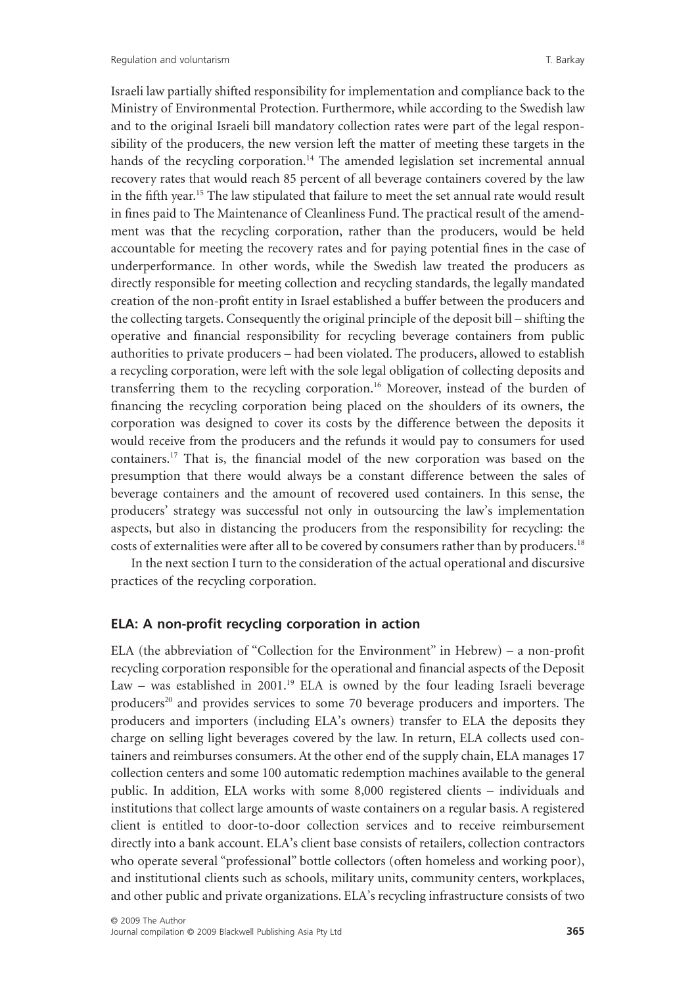Israeli law partially shifted responsibility for implementation and compliance back to the Ministry of Environmental Protection. Furthermore, while according to the Swedish law and to the original Israeli bill mandatory collection rates were part of the legal responsibility of the producers, the new version left the matter of meeting these targets in the hands of the recycling corporation.<sup>14</sup> The amended legislation set incremental annual recovery rates that would reach 85 percent of all beverage containers covered by the law in the fifth year.15 The law stipulated that failure to meet the set annual rate would result in fines paid to The Maintenance of Cleanliness Fund. The practical result of the amendment was that the recycling corporation, rather than the producers, would be held accountable for meeting the recovery rates and for paying potential fines in the case of underperformance. In other words, while the Swedish law treated the producers as directly responsible for meeting collection and recycling standards, the legally mandated creation of the non-profit entity in Israel established a buffer between the producers and the collecting targets. Consequently the original principle of the deposit bill – shifting the operative and financial responsibility for recycling beverage containers from public authorities to private producers – had been violated. The producers, allowed to establish a recycling corporation, were left with the sole legal obligation of collecting deposits and transferring them to the recycling corporation.16 Moreover, instead of the burden of financing the recycling corporation being placed on the shoulders of its owners, the corporation was designed to cover its costs by the difference between the deposits it would receive from the producers and the refunds it would pay to consumers for used containers.17 That is, the financial model of the new corporation was based on the presumption that there would always be a constant difference between the sales of beverage containers and the amount of recovered used containers. In this sense, the producers' strategy was successful not only in outsourcing the law's implementation aspects, but also in distancing the producers from the responsibility for recycling: the costs of externalities were after all to be covered by consumers rather than by producers.<sup>18</sup>

In the next section I turn to the consideration of the actual operational and discursive practices of the recycling corporation.

## **ELA: A non-profit recycling corporation in action**

ELA (the abbreviation of "Collection for the Environment" in Hebrew) – a non-profit recycling corporation responsible for the operational and financial aspects of the Deposit Law – was established in 2001.<sup>19</sup> ELA is owned by the four leading Israeli beverage producers<sup>20</sup> and provides services to some 70 beverage producers and importers. The producers and importers (including ELA's owners) transfer to ELA the deposits they charge on selling light beverages covered by the law. In return, ELA collects used containers and reimburses consumers. At the other end of the supply chain, ELA manages 17 collection centers and some 100 automatic redemption machines available to the general public. In addition, ELA works with some 8,000 registered clients – individuals and institutions that collect large amounts of waste containers on a regular basis. A registered client is entitled to door-to-door collection services and to receive reimbursement directly into a bank account. ELA's client base consists of retailers, collection contractors who operate several "professional" bottle collectors (often homeless and working poor), and institutional clients such as schools, military units, community centers, workplaces, and other public and private organizations. ELA's recycling infrastructure consists of two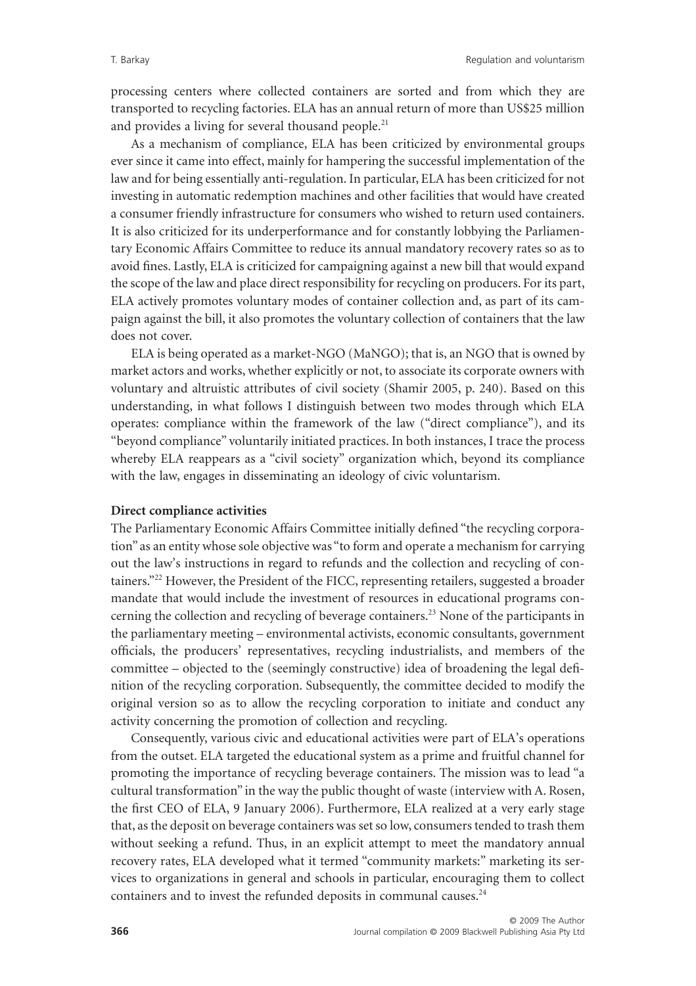processing centers where collected containers are sorted and from which they are transported to recycling factories. ELA has an annual return of more than US\$25 million and provides a living for several thousand people.<sup>21</sup>

As a mechanism of compliance, ELA has been criticized by environmental groups ever since it came into effect, mainly for hampering the successful implementation of the law and for being essentially anti-regulation. In particular, ELA has been criticized for not investing in automatic redemption machines and other facilities that would have created a consumer friendly infrastructure for consumers who wished to return used containers. It is also criticized for its underperformance and for constantly lobbying the Parliamentary Economic Affairs Committee to reduce its annual mandatory recovery rates so as to avoid fines. Lastly, ELA is criticized for campaigning against a new bill that would expand the scope of the law and place direct responsibility for recycling on producers. For its part, ELA actively promotes voluntary modes of container collection and, as part of its campaign against the bill, it also promotes the voluntary collection of containers that the law does not cover.

ELA is being operated as a market-NGO (MaNGO); that is, an NGO that is owned by market actors and works, whether explicitly or not, to associate its corporate owners with voluntary and altruistic attributes of civil society (Shamir 2005, p. 240). Based on this understanding, in what follows I distinguish between two modes through which ELA operates: compliance within the framework of the law ("direct compliance"), and its "beyond compliance" voluntarily initiated practices. In both instances, I trace the process whereby ELA reappears as a "civil society" organization which, beyond its compliance with the law, engages in disseminating an ideology of civic voluntarism.

## **Direct compliance activities**

The Parliamentary Economic Affairs Committee initially defined "the recycling corporation" as an entity whose sole objective was "to form and operate a mechanism for carrying out the law's instructions in regard to refunds and the collection and recycling of containers."<sup>22</sup> However, the President of the FICC, representing retailers, suggested a broader mandate that would include the investment of resources in educational programs concerning the collection and recycling of beverage containers.<sup>23</sup> None of the participants in the parliamentary meeting – environmental activists, economic consultants, government officials, the producers' representatives, recycling industrialists, and members of the committee – objected to the (seemingly constructive) idea of broadening the legal definition of the recycling corporation. Subsequently, the committee decided to modify the original version so as to allow the recycling corporation to initiate and conduct any activity concerning the promotion of collection and recycling.

Consequently, various civic and educational activities were part of ELA's operations from the outset. ELA targeted the educational system as a prime and fruitful channel for promoting the importance of recycling beverage containers. The mission was to lead "a cultural transformation" in the way the public thought of waste (interview with A. Rosen, the first CEO of ELA, 9 January 2006). Furthermore, ELA realized at a very early stage that, as the deposit on beverage containers was set so low, consumers tended to trash them without seeking a refund. Thus, in an explicit attempt to meet the mandatory annual recovery rates, ELA developed what it termed "community markets:" marketing its services to organizations in general and schools in particular, encouraging them to collect containers and to invest the refunded deposits in communal causes.<sup>24</sup>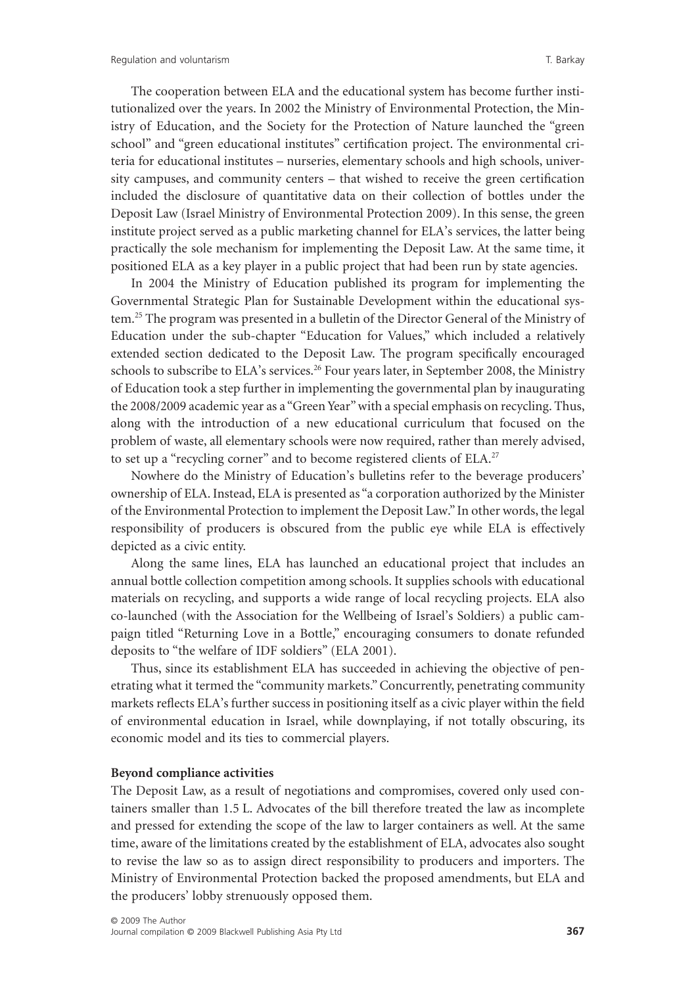The cooperation between ELA and the educational system has become further institutionalized over the years. In 2002 the Ministry of Environmental Protection, the Ministry of Education, and the Society for the Protection of Nature launched the "green school" and "green educational institutes" certification project. The environmental criteria for educational institutes – nurseries, elementary schools and high schools, university campuses, and community centers – that wished to receive the green certification included the disclosure of quantitative data on their collection of bottles under the Deposit Law (Israel Ministry of Environmental Protection 2009). In this sense, the green institute project served as a public marketing channel for ELA's services, the latter being practically the sole mechanism for implementing the Deposit Law. At the same time, it positioned ELA as a key player in a public project that had been run by state agencies.

In 2004 the Ministry of Education published its program for implementing the Governmental Strategic Plan for Sustainable Development within the educational system.25 The program was presented in a bulletin of the Director General of the Ministry of Education under the sub-chapter "Education for Values," which included a relatively extended section dedicated to the Deposit Law. The program specifically encouraged schools to subscribe to ELA's services.<sup>26</sup> Four years later, in September 2008, the Ministry of Education took a step further in implementing the governmental plan by inaugurating the 2008/2009 academic year as a "Green Year"with a special emphasis on recycling. Thus, along with the introduction of a new educational curriculum that focused on the problem of waste, all elementary schools were now required, rather than merely advised, to set up a "recycling corner" and to become registered clients of ELA.<sup>27</sup>

Nowhere do the Ministry of Education's bulletins refer to the beverage producers' ownership of ELA. Instead, ELA is presented as "a corporation authorized by the Minister of the Environmental Protection to implement the Deposit Law." In other words, the legal responsibility of producers is obscured from the public eye while ELA is effectively depicted as a civic entity.

Along the same lines, ELA has launched an educational project that includes an annual bottle collection competition among schools. It supplies schools with educational materials on recycling, and supports a wide range of local recycling projects. ELA also co-launched (with the Association for the Wellbeing of Israel's Soldiers) a public campaign titled "Returning Love in a Bottle," encouraging consumers to donate refunded deposits to "the welfare of IDF soldiers" (ELA 2001).

Thus, since its establishment ELA has succeeded in achieving the objective of penetrating what it termed the "community markets." Concurrently, penetrating community markets reflects ELA's further success in positioning itself as a civic player within the field of environmental education in Israel, while downplaying, if not totally obscuring, its economic model and its ties to commercial players.

#### **Beyond compliance activities**

The Deposit Law, as a result of negotiations and compromises, covered only used containers smaller than 1.5 L. Advocates of the bill therefore treated the law as incomplete and pressed for extending the scope of the law to larger containers as well. At the same time, aware of the limitations created by the establishment of ELA, advocates also sought to revise the law so as to assign direct responsibility to producers and importers. The Ministry of Environmental Protection backed the proposed amendments, but ELA and the producers' lobby strenuously opposed them.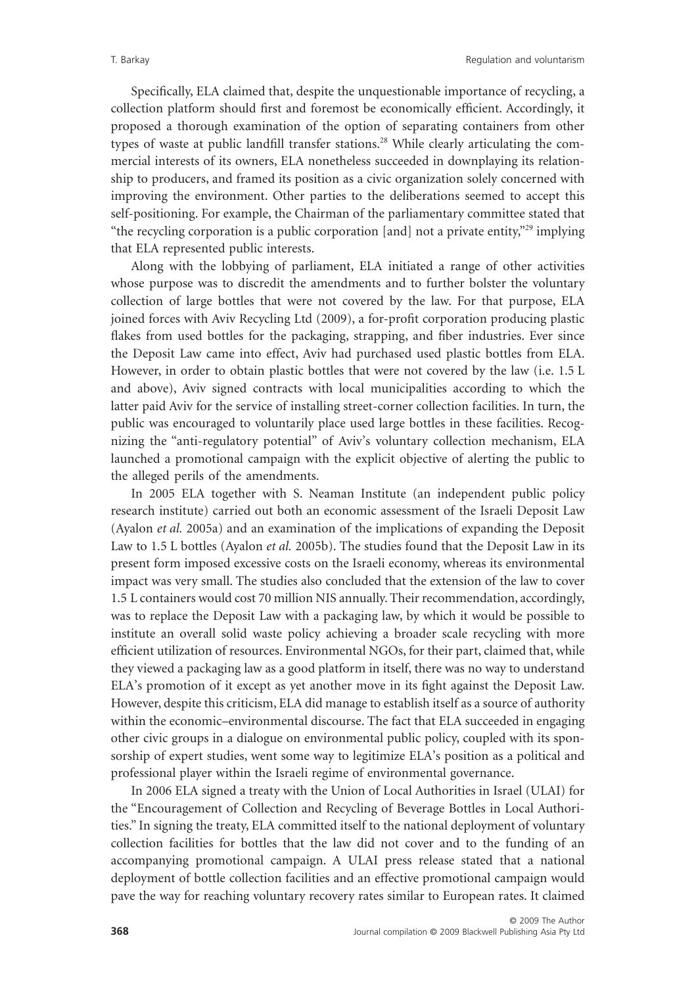Specifically, ELA claimed that, despite the unquestionable importance of recycling, a collection platform should first and foremost be economically efficient. Accordingly, it proposed a thorough examination of the option of separating containers from other types of waste at public landfill transfer stations.<sup>28</sup> While clearly articulating the commercial interests of its owners, ELA nonetheless succeeded in downplaying its relationship to producers, and framed its position as a civic organization solely concerned with improving the environment. Other parties to the deliberations seemed to accept this self-positioning. For example, the Chairman of the parliamentary committee stated that "the recycling corporation is a public corporation [and] not a private entity,"29 implying that ELA represented public interests.

Along with the lobbying of parliament, ELA initiated a range of other activities whose purpose was to discredit the amendments and to further bolster the voluntary collection of large bottles that were not covered by the law. For that purpose, ELA joined forces with Aviv Recycling Ltd (2009), a for-profit corporation producing plastic flakes from used bottles for the packaging, strapping, and fiber industries. Ever since the Deposit Law came into effect, Aviv had purchased used plastic bottles from ELA. However, in order to obtain plastic bottles that were not covered by the law (i.e. 1.5 L and above), Aviv signed contracts with local municipalities according to which the latter paid Aviv for the service of installing street-corner collection facilities. In turn, the public was encouraged to voluntarily place used large bottles in these facilities. Recognizing the "anti-regulatory potential" of Aviv's voluntary collection mechanism, ELA launched a promotional campaign with the explicit objective of alerting the public to the alleged perils of the amendments.

In 2005 ELA together with S. Neaman Institute (an independent public policy research institute) carried out both an economic assessment of the Israeli Deposit Law (Ayalon *et al.* 2005a) and an examination of the implications of expanding the Deposit Law to 1.5 L bottles (Ayalon *et al.* 2005b). The studies found that the Deposit Law in its present form imposed excessive costs on the Israeli economy, whereas its environmental impact was very small. The studies also concluded that the extension of the law to cover 1.5 L containers would cost 70 million NIS annually. Their recommendation, accordingly, was to replace the Deposit Law with a packaging law, by which it would be possible to institute an overall solid waste policy achieving a broader scale recycling with more efficient utilization of resources. Environmental NGOs, for their part, claimed that, while they viewed a packaging law as a good platform in itself, there was no way to understand ELA's promotion of it except as yet another move in its fight against the Deposit Law. However, despite this criticism, ELA did manage to establish itself as a source of authority within the economic–environmental discourse. The fact that ELA succeeded in engaging other civic groups in a dialogue on environmental public policy, coupled with its sponsorship of expert studies, went some way to legitimize ELA's position as a political and professional player within the Israeli regime of environmental governance.

In 2006 ELA signed a treaty with the Union of Local Authorities in Israel (ULAI) for the "Encouragement of Collection and Recycling of Beverage Bottles in Local Authorities." In signing the treaty, ELA committed itself to the national deployment of voluntary collection facilities for bottles that the law did not cover and to the funding of an accompanying promotional campaign. A ULAI press release stated that a national deployment of bottle collection facilities and an effective promotional campaign would pave the way for reaching voluntary recovery rates similar to European rates. It claimed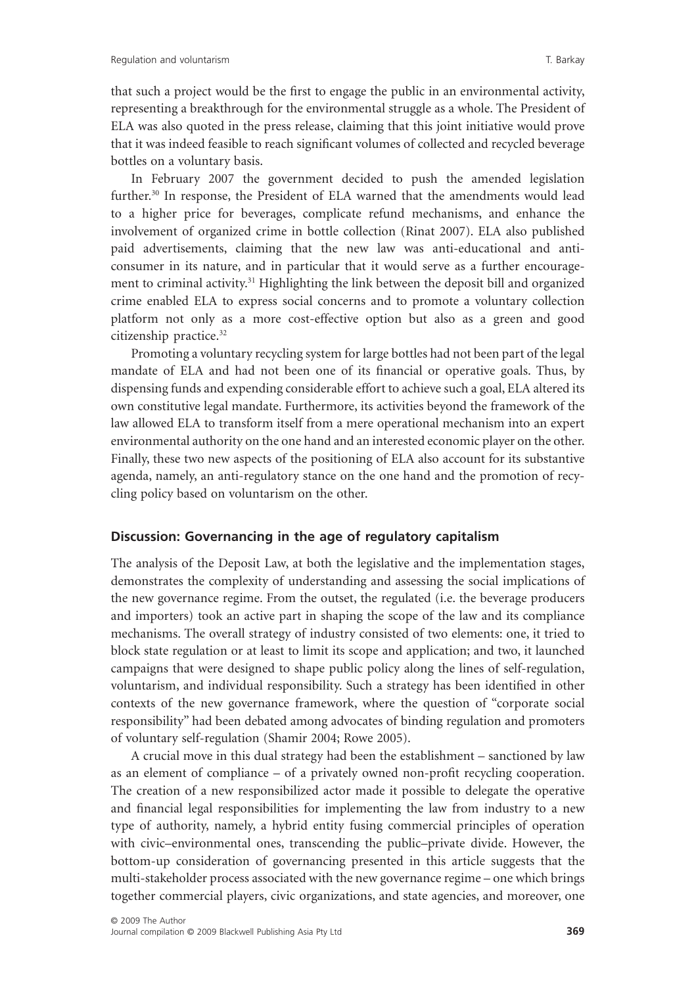that such a project would be the first to engage the public in an environmental activity, representing a breakthrough for the environmental struggle as a whole. The President of ELA was also quoted in the press release, claiming that this joint initiative would prove that it was indeed feasible to reach significant volumes of collected and recycled beverage bottles on a voluntary basis.

In February 2007 the government decided to push the amended legislation further.<sup>30</sup> In response, the President of ELA warned that the amendments would lead to a higher price for beverages, complicate refund mechanisms, and enhance the involvement of organized crime in bottle collection (Rinat 2007). ELA also published paid advertisements, claiming that the new law was anti-educational and anticonsumer in its nature, and in particular that it would serve as a further encouragement to criminal activity.31 Highlighting the link between the deposit bill and organized crime enabled ELA to express social concerns and to promote a voluntary collection platform not only as a more cost-effective option but also as a green and good citizenship practice.<sup>32</sup>

Promoting a voluntary recycling system for large bottles had not been part of the legal mandate of ELA and had not been one of its financial or operative goals. Thus, by dispensing funds and expending considerable effort to achieve such a goal, ELA altered its own constitutive legal mandate. Furthermore, its activities beyond the framework of the law allowed ELA to transform itself from a mere operational mechanism into an expert environmental authority on the one hand and an interested economic player on the other. Finally, these two new aspects of the positioning of ELA also account for its substantive agenda, namely, an anti-regulatory stance on the one hand and the promotion of recycling policy based on voluntarism on the other.

## **Discussion: Governancing in the age of regulatory capitalism**

The analysis of the Deposit Law, at both the legislative and the implementation stages, demonstrates the complexity of understanding and assessing the social implications of the new governance regime. From the outset, the regulated (i.e. the beverage producers and importers) took an active part in shaping the scope of the law and its compliance mechanisms. The overall strategy of industry consisted of two elements: one, it tried to block state regulation or at least to limit its scope and application; and two, it launched campaigns that were designed to shape public policy along the lines of self-regulation, voluntarism, and individual responsibility. Such a strategy has been identified in other contexts of the new governance framework, where the question of "corporate social responsibility" had been debated among advocates of binding regulation and promoters of voluntary self-regulation (Shamir 2004; Rowe 2005).

A crucial move in this dual strategy had been the establishment – sanctioned by law as an element of compliance – of a privately owned non-profit recycling cooperation. The creation of a new responsibilized actor made it possible to delegate the operative and financial legal responsibilities for implementing the law from industry to a new type of authority, namely, a hybrid entity fusing commercial principles of operation with civic–environmental ones, transcending the public–private divide. However, the bottom-up consideration of governancing presented in this article suggests that the multi-stakeholder process associated with the new governance regime – one which brings together commercial players, civic organizations, and state agencies, and moreover, one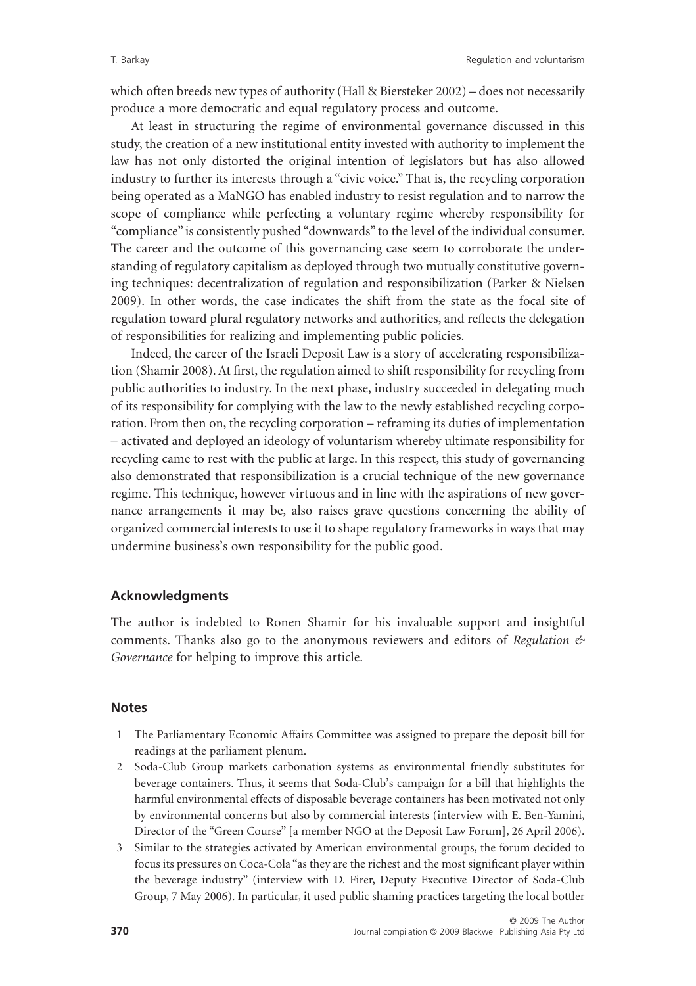which often breeds new types of authority (Hall & Biersteker 2002) – does not necessarily produce a more democratic and equal regulatory process and outcome.

At least in structuring the regime of environmental governance discussed in this study, the creation of a new institutional entity invested with authority to implement the law has not only distorted the original intention of legislators but has also allowed industry to further its interests through a "civic voice." That is, the recycling corporation being operated as a MaNGO has enabled industry to resist regulation and to narrow the scope of compliance while perfecting a voluntary regime whereby responsibility for "compliance" is consistently pushed "downwards" to the level of the individual consumer. The career and the outcome of this governancing case seem to corroborate the understanding of regulatory capitalism as deployed through two mutually constitutive governing techniques: decentralization of regulation and responsibilization (Parker & Nielsen 2009). In other words, the case indicates the shift from the state as the focal site of regulation toward plural regulatory networks and authorities, and reflects the delegation of responsibilities for realizing and implementing public policies.

Indeed, the career of the Israeli Deposit Law is a story of accelerating responsibilization (Shamir 2008). At first, the regulation aimed to shift responsibility for recycling from public authorities to industry. In the next phase, industry succeeded in delegating much of its responsibility for complying with the law to the newly established recycling corporation. From then on, the recycling corporation – reframing its duties of implementation – activated and deployed an ideology of voluntarism whereby ultimate responsibility for recycling came to rest with the public at large. In this respect, this study of governancing also demonstrated that responsibilization is a crucial technique of the new governance regime. This technique, however virtuous and in line with the aspirations of new governance arrangements it may be, also raises grave questions concerning the ability of organized commercial interests to use it to shape regulatory frameworks in ways that may undermine business's own responsibility for the public good.

# **Acknowledgments**

The author is indebted to Ronen Shamir for his invaluable support and insightful comments. Thanks also go to the anonymous reviewers and editors of *Regulation & Governance* for helping to improve this article.

## **Notes**

- 1 The Parliamentary Economic Affairs Committee was assigned to prepare the deposit bill for readings at the parliament plenum.
- 2 Soda-Club Group markets carbonation systems as environmental friendly substitutes for beverage containers. Thus, it seems that Soda-Club's campaign for a bill that highlights the harmful environmental effects of disposable beverage containers has been motivated not only by environmental concerns but also by commercial interests (interview with E. Ben-Yamini, Director of the "Green Course" [a member NGO at the Deposit Law Forum], 26 April 2006).
- 3 Similar to the strategies activated by American environmental groups, the forum decided to focus its pressures on Coca-Cola "as they are the richest and the most significant player within the beverage industry" (interview with D. Firer, Deputy Executive Director of Soda-Club Group, 7 May 2006). In particular, it used public shaming practices targeting the local bottler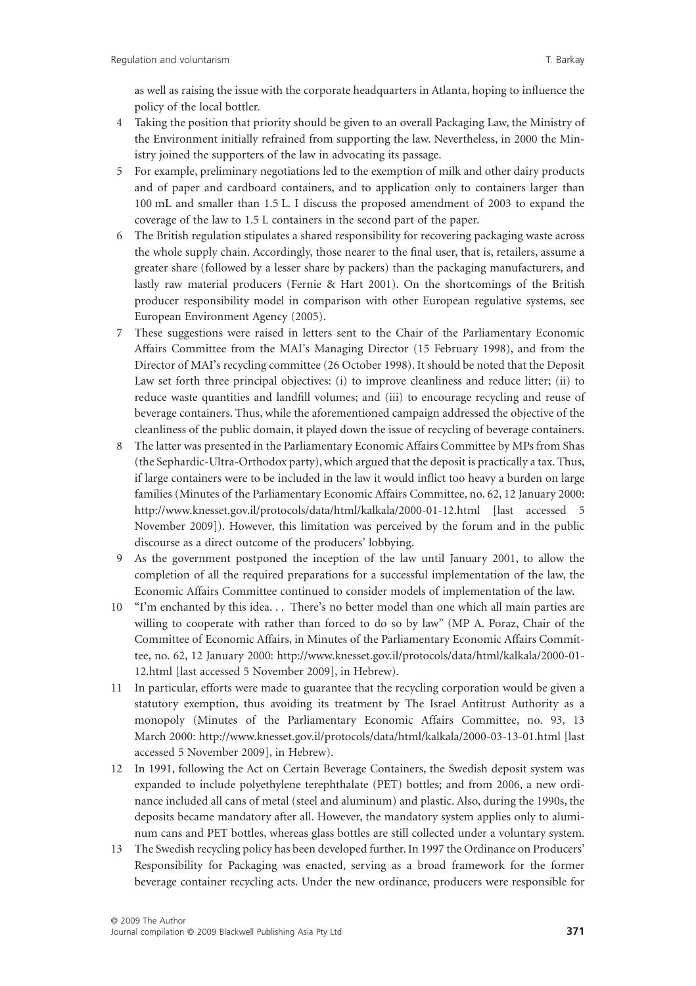as well as raising the issue with the corporate headquarters in Atlanta, hoping to influence the policy of the local bottler.

- 4 Taking the position that priority should be given to an overall Packaging Law, the Ministry of the Environment initially refrained from supporting the law. Nevertheless, in 2000 the Ministry joined the supporters of the law in advocating its passage.
- 5 For example, preliminary negotiations led to the exemption of milk and other dairy products and of paper and cardboard containers, and to application only to containers larger than 100 mL and smaller than 1.5 L. I discuss the proposed amendment of 2003 to expand the coverage of the law to 1.5 L containers in the second part of the paper.
- 6 The British regulation stipulates a shared responsibility for recovering packaging waste across the whole supply chain. Accordingly, those nearer to the final user, that is, retailers, assume a greater share (followed by a lesser share by packers) than the packaging manufacturers, and lastly raw material producers (Fernie & Hart 2001). On the shortcomings of the British producer responsibility model in comparison with other European regulative systems, see European Environment Agency (2005).
- 7 These suggestions were raised in letters sent to the Chair of the Parliamentary Economic Affairs Committee from the MAI's Managing Director (15 February 1998), and from the Director of MAI's recycling committee (26 October 1998). It should be noted that the Deposit Law set forth three principal objectives: (i) to improve cleanliness and reduce litter; (ii) to reduce waste quantities and landfill volumes; and (iii) to encourage recycling and reuse of beverage containers. Thus, while the aforementioned campaign addressed the objective of the cleanliness of the public domain, it played down the issue of recycling of beverage containers.
- 8 The latter was presented in the Parliamentary Economic Affairs Committee by MPs from Shas (the Sephardic-Ultra-Orthodox party), which argued that the deposit is practically a tax. Thus, if large containers were to be included in the law it would inflict too heavy a burden on large families (Minutes of the Parliamentary Economic Affairs Committee, no. 62, 12 January 2000: http://www.knesset.gov.il/protocols/data/html/kalkala/2000-01-12.html [last accessed 5 November 2009]). However, this limitation was perceived by the forum and in the public discourse as a direct outcome of the producers' lobbying.
- 9 As the government postponed the inception of the law until January 2001, to allow the completion of all the required preparations for a successful implementation of the law, the Economic Affairs Committee continued to consider models of implementation of the law.
- 10 "I'm enchanted by this idea. . . There's no better model than one which all main parties are willing to cooperate with rather than forced to do so by law" (MP A. Poraz, Chair of the Committee of Economic Affairs, in Minutes of the Parliamentary Economic Affairs Committee, no. 62, 12 January 2000: http://www.knesset.gov.il/protocols/data/html/kalkala/2000-01- 12.html [last accessed 5 November 2009], in Hebrew).
- 11 In particular, efforts were made to guarantee that the recycling corporation would be given a statutory exemption, thus avoiding its treatment by The Israel Antitrust Authority as a monopoly (Minutes of the Parliamentary Economic Affairs Committee, no. 93, 13 March 2000: http://www.knesset.gov.il/protocols/data/html/kalkala/2000-03-13-01.html [last accessed 5 November 2009], in Hebrew).
- 12 In 1991, following the Act on Certain Beverage Containers, the Swedish deposit system was expanded to include polyethylene terephthalate (PET) bottles; and from 2006, a new ordinance included all cans of metal (steel and aluminum) and plastic. Also, during the 1990s, the deposits became mandatory after all. However, the mandatory system applies only to aluminum cans and PET bottles, whereas glass bottles are still collected under a voluntary system.
- 13 The Swedish recycling policy has been developed further. In 1997 the Ordinance on Producers' Responsibility for Packaging was enacted, serving as a broad framework for the former beverage container recycling acts. Under the new ordinance, producers were responsible for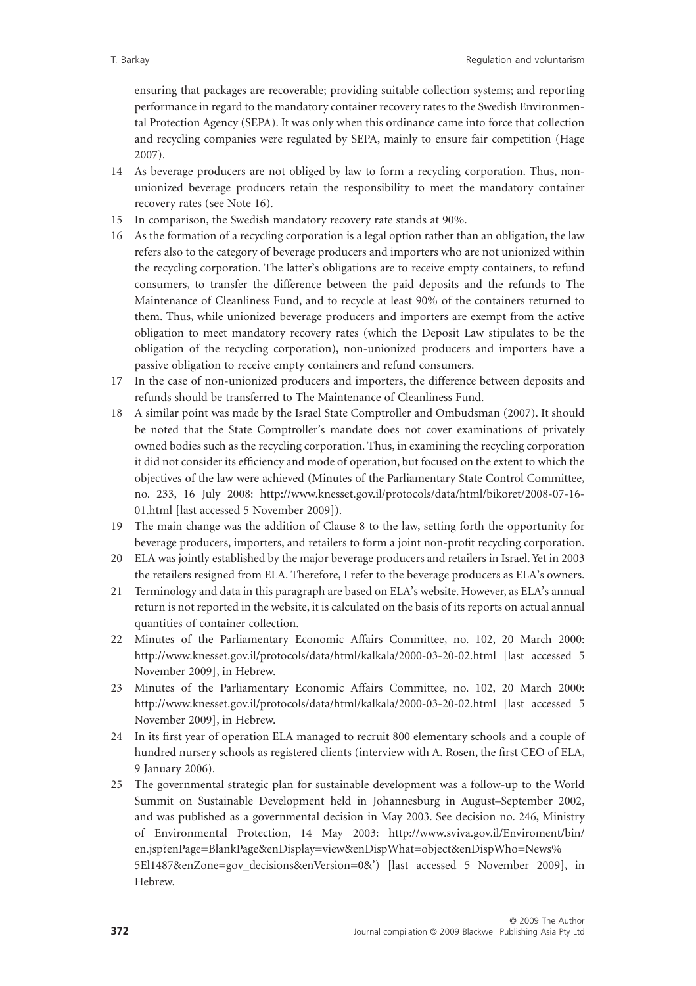ensuring that packages are recoverable; providing suitable collection systems; and reporting performance in regard to the mandatory container recovery rates to the Swedish Environmental Protection Agency (SEPA). It was only when this ordinance came into force that collection and recycling companies were regulated by SEPA, mainly to ensure fair competition (Hage 2007).

- 14 As beverage producers are not obliged by law to form a recycling corporation. Thus, nonunionized beverage producers retain the responsibility to meet the mandatory container recovery rates (see Note 16).
- 15 In comparison, the Swedish mandatory recovery rate stands at 90%.
- 16 As the formation of a recycling corporation is a legal option rather than an obligation, the law refers also to the category of beverage producers and importers who are not unionized within the recycling corporation. The latter's obligations are to receive empty containers, to refund consumers, to transfer the difference between the paid deposits and the refunds to The Maintenance of Cleanliness Fund, and to recycle at least 90% of the containers returned to them. Thus, while unionized beverage producers and importers are exempt from the active obligation to meet mandatory recovery rates (which the Deposit Law stipulates to be the obligation of the recycling corporation), non-unionized producers and importers have a passive obligation to receive empty containers and refund consumers.
- 17 In the case of non-unionized producers and importers, the difference between deposits and refunds should be transferred to The Maintenance of Cleanliness Fund.
- 18 A similar point was made by the Israel State Comptroller and Ombudsman (2007). It should be noted that the State Comptroller's mandate does not cover examinations of privately owned bodies such as the recycling corporation. Thus, in examining the recycling corporation it did not consider its efficiency and mode of operation, but focused on the extent to which the objectives of the law were achieved (Minutes of the Parliamentary State Control Committee, no. 233, 16 July 2008: http://www.knesset.gov.il/protocols/data/html/bikoret/2008-07-16- 01.html [last accessed 5 November 2009]).
- 19 The main change was the addition of Clause 8 to the law, setting forth the opportunity for beverage producers, importers, and retailers to form a joint non-profit recycling corporation.
- 20 ELA was jointly established by the major beverage producers and retailers in Israel. Yet in 2003 the retailers resigned from ELA. Therefore, I refer to the beverage producers as ELA's owners.
- 21 Terminology and data in this paragraph are based on ELA's website. However, as ELA's annual return is not reported in the website, it is calculated on the basis of its reports on actual annual quantities of container collection.
- 22 Minutes of the Parliamentary Economic Affairs Committee, no. 102, 20 March 2000: http://www.knesset.gov.il/protocols/data/html/kalkala/2000-03-20-02.html [last accessed 5 November 2009], in Hebrew.
- 23 Minutes of the Parliamentary Economic Affairs Committee, no. 102, 20 March 2000: http://www.knesset.gov.il/protocols/data/html/kalkala/2000-03-20-02.html [last accessed 5 November 2009], in Hebrew.
- 24 In its first year of operation ELA managed to recruit 800 elementary schools and a couple of hundred nursery schools as registered clients (interview with A. Rosen, the first CEO of ELA, 9 January 2006).
- 25 The governmental strategic plan for sustainable development was a follow-up to the World Summit on Sustainable Development held in Johannesburg in August–September 2002, and was published as a governmental decision in May 2003. See decision no. 246, Ministry of Environmental Protection, 14 May 2003: http://www.sviva.gov.il/Enviroment/bin/ en.jsp?enPage=BlankPage&enDisplay=view&enDispWhat=object&enDispWho=News% 5El1487&enZone=gov\_decisions&enVersion=0&') [last accessed 5 November 2009], in Hebrew.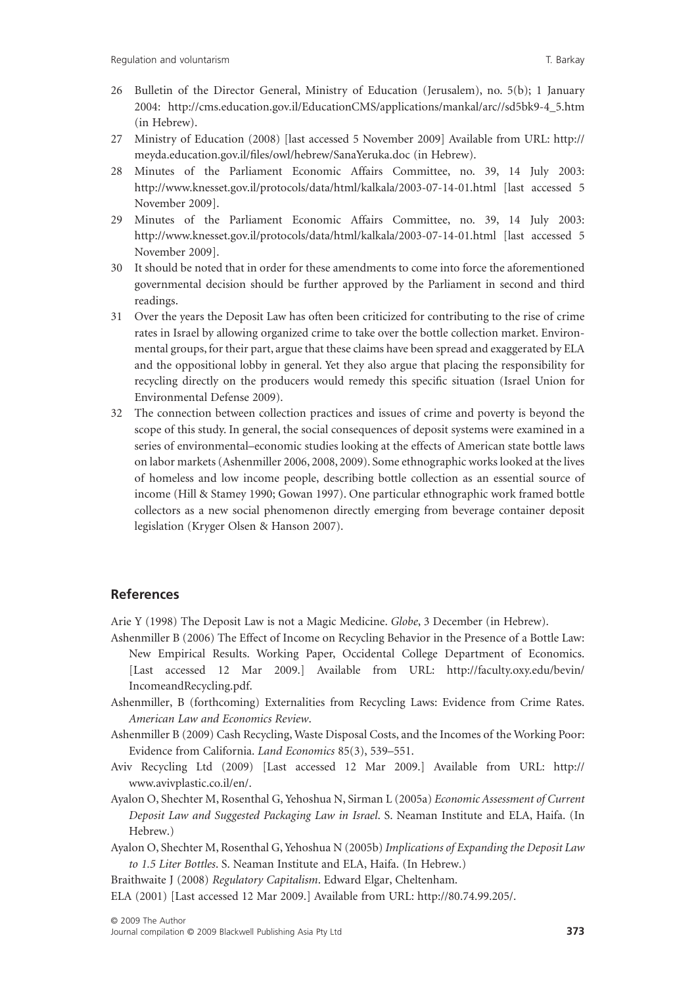- 26 Bulletin of the Director General, Ministry of Education (Jerusalem), no. 5(b); 1 January 2004: http://cms.education.gov.il/EducationCMS/applications/mankal/arc//sd5bk9-4\_5.htm (in Hebrew).
- 27 Ministry of Education (2008) [last accessed 5 November 2009] Available from URL: http:// meyda.education.gov.il/files/owl/hebrew/SanaYeruka.doc (in Hebrew).
- 28 Minutes of the Parliament Economic Affairs Committee, no. 39, 14 July 2003: http://www.knesset.gov.il/protocols/data/html/kalkala/2003-07-14-01.html [last accessed 5 November 2009].
- 29 Minutes of the Parliament Economic Affairs Committee, no. 39, 14 July 2003: http://www.knesset.gov.il/protocols/data/html/kalkala/2003-07-14-01.html [last accessed 5 November 2009].
- 30 It should be noted that in order for these amendments to come into force the aforementioned governmental decision should be further approved by the Parliament in second and third readings.
- 31 Over the years the Deposit Law has often been criticized for contributing to the rise of crime rates in Israel by allowing organized crime to take over the bottle collection market. Environmental groups, for their part, argue that these claims have been spread and exaggerated by ELA and the oppositional lobby in general. Yet they also argue that placing the responsibility for recycling directly on the producers would remedy this specific situation (Israel Union for Environmental Defense 2009).
- 32 The connection between collection practices and issues of crime and poverty is beyond the scope of this study. In general, the social consequences of deposit systems were examined in a series of environmental–economic studies looking at the effects of American state bottle laws on labor markets (Ashenmiller 2006, 2008, 2009). Some ethnographic works looked at the lives of homeless and low income people, describing bottle collection as an essential source of income (Hill & Stamey 1990; Gowan 1997). One particular ethnographic work framed bottle collectors as a new social phenomenon directly emerging from beverage container deposit legislation (Kryger Olsen & Hanson 2007).

## **References**

Arie Y (1998) The Deposit Law is not a Magic Medicine. *Globe*, 3 December (in Hebrew).

- Ashenmiller B (2006) The Effect of Income on Recycling Behavior in the Presence of a Bottle Law: New Empirical Results. Working Paper, Occidental College Department of Economics. [Last accessed 12 Mar 2009.] Available from URL: http://faculty.oxy.edu/bevin/ IncomeandRecycling.pdf.
- Ashenmiller, B (forthcoming) Externalities from Recycling Laws: Evidence from Crime Rates. *American Law and Economics Review*.
- Ashenmiller B (2009) Cash Recycling, Waste Disposal Costs, and the Incomes of the Working Poor: Evidence from California. *Land Economics* 85(3), 539–551.
- Aviv Recycling Ltd (2009) [Last accessed 12 Mar 2009.] Available from URL: http:// www.avivplastic.co.il/en/.
- Ayalon O, Shechter M, Rosenthal G, Yehoshua N, Sirman L (2005a) *Economic Assessment of Current Deposit Law and Suggested Packaging Law in Israel*. S. Neaman Institute and ELA, Haifa. (In Hebrew.)
- Ayalon O, Shechter M, Rosenthal G, Yehoshua N (2005b) *Implications of Expanding the Deposit Law to 1.5 Liter Bottles*. S. Neaman Institute and ELA, Haifa. (In Hebrew.)
- Braithwaite J (2008) *Regulatory Capitalism*. Edward Elgar, Cheltenham.
- ELA (2001) [Last accessed 12 Mar 2009.] Available from URL: http://80.74.99.205/.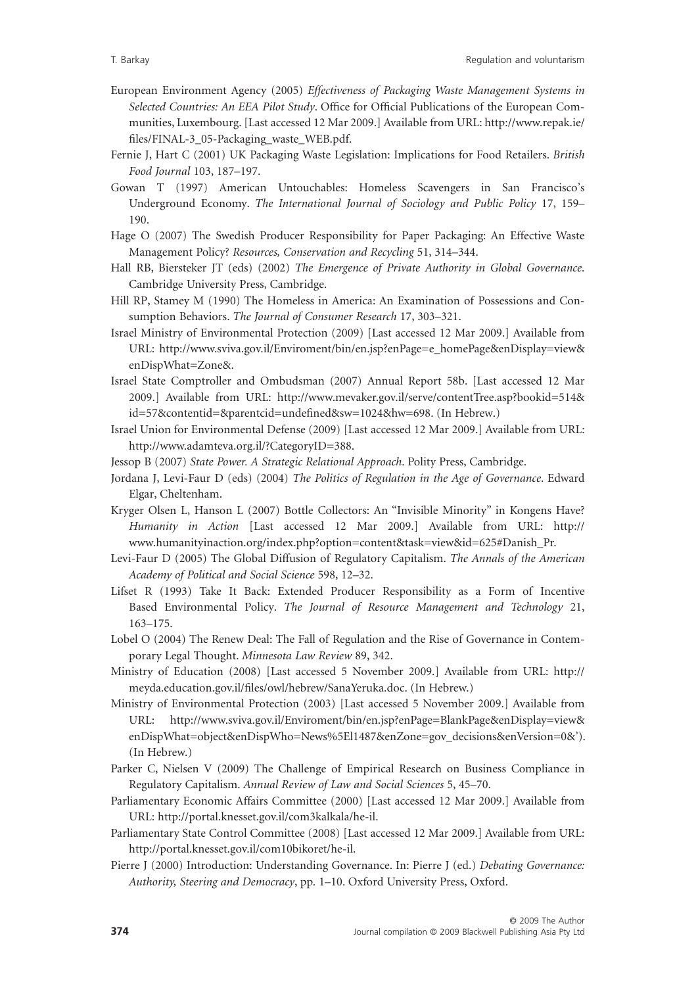- European Environment Agency (2005) *Effectiveness of Packaging Waste Management Systems in Selected Countries: An EEA Pilot Study*. Office for Official Publications of the European Communities, Luxembourg. [Last accessed 12 Mar 2009.] Available from URL: http://www.repak.ie/ files/FINAL-3\_05-Packaging\_waste\_WEB.pdf.
- Fernie J, Hart C (2001) UK Packaging Waste Legislation: Implications for Food Retailers. *British Food Journal* 103, 187–197.
- Gowan T (1997) American Untouchables: Homeless Scavengers in San Francisco's Underground Economy. *The International Journal of Sociology and Public Policy* 17, 159– 190.
- Hage O (2007) The Swedish Producer Responsibility for Paper Packaging: An Effective Waste Management Policy? *Resources, Conservation and Recycling* 51, 314–344.
- Hall RB, Biersteker JT (eds) (2002) *The Emergence of Private Authority in Global Governance*. Cambridge University Press, Cambridge.
- Hill RP, Stamey M (1990) The Homeless in America: An Examination of Possessions and Consumption Behaviors. *The Journal of Consumer Research* 17, 303–321.
- Israel Ministry of Environmental Protection (2009) [Last accessed 12 Mar 2009.] Available from URL: http://www.sviva.gov.il/Enviroment/bin/en.jsp?enPage=e\_homePage&enDisplay=view& enDispWhat=Zone&.
- Israel State Comptroller and Ombudsman (2007) Annual Report 58b. [Last accessed 12 Mar 2009.] Available from URL: http://www.mevaker.gov.il/serve/contentTree.asp?bookid=514& id=57&contentid=&parentcid=undefined&sw=1024&hw=698. (In Hebrew.)
- Israel Union for Environmental Defense (2009) [Last accessed 12 Mar 2009.] Available from URL: http://www.adamteva.org.il/?CategoryID=388.
- Jessop B (2007) *State Power. A Strategic Relational Approach*. Polity Press, Cambridge.
- Jordana J, Levi-Faur D (eds) (2004) *The Politics of Regulation in the Age of Governance*. Edward Elgar, Cheltenham.
- Kryger Olsen L, Hanson L (2007) Bottle Collectors: An "Invisible Minority" in Kongens Have? *Humanity in Action* [Last accessed 12 Mar 2009.] Available from URL: http:// www.humanityinaction.org/index.php?option=content&task=view&id=625#Danish\_Pr.
- Levi-Faur D (2005) The Global Diffusion of Regulatory Capitalism. *The Annals of the American Academy of Political and Social Science* 598, 12–32.
- Lifset R (1993) Take It Back: Extended Producer Responsibility as a Form of Incentive Based Environmental Policy. *The Journal of Resource Management and Technology* 21, 163–175.
- Lobel O (2004) The Renew Deal: The Fall of Regulation and the Rise of Governance in Contemporary Legal Thought. *Minnesota Law Review* 89, 342.
- Ministry of Education (2008) [Last accessed 5 November 2009.] Available from URL: http:// meyda.education.gov.il/files/owl/hebrew/SanaYeruka.doc. (In Hebrew.)
- Ministry of Environmental Protection (2003) [Last accessed 5 November 2009.] Available from URL: http://www.sviva.gov.il/Enviroment/bin/en.jsp?enPage=BlankPage&enDisplay=view& enDispWhat=object&enDispWho=News%5El1487&enZone=gov\_decisions&enVersion=0&'). (In Hebrew.)
- Parker C, Nielsen V (2009) The Challenge of Empirical Research on Business Compliance in Regulatory Capitalism. *Annual Review of Law and Social Sciences* 5, 45–70.
- Parliamentary Economic Affairs Committee (2000) [Last accessed 12 Mar 2009.] Available from URL: http://portal.knesset.gov.il/com3kalkala/he-il.
- Parliamentary State Control Committee (2008) [Last accessed 12 Mar 2009.] Available from URL: http://portal.knesset.gov.il/com10bikoret/he-il.
- Pierre J (2000) Introduction: Understanding Governance. In: Pierre J (ed.) *Debating Governance: Authority, Steering and Democracy*, pp. 1–10. Oxford University Press, Oxford.